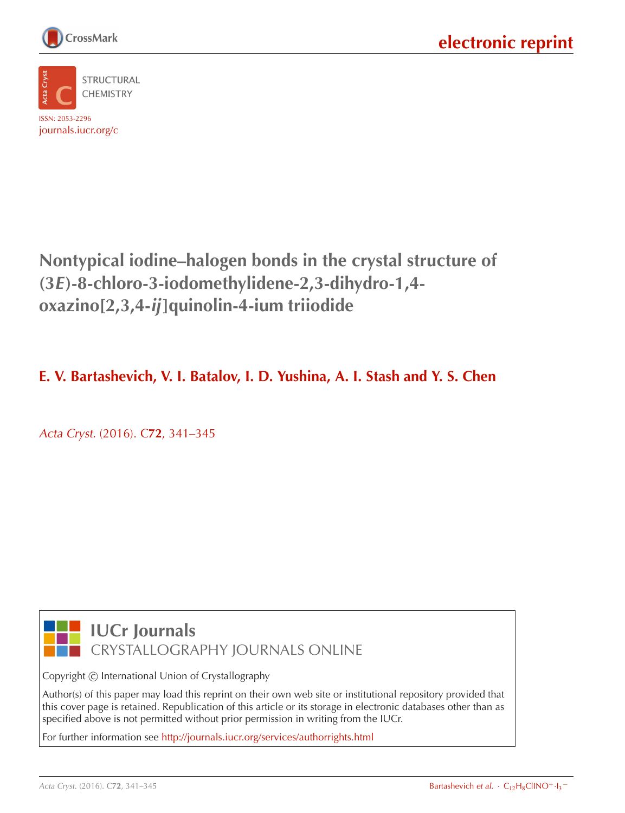



**Nontypical iodine–halogen bonds in the crystal structure of (3E)-8-chloro-3-iodomethylidene-2,3-dihydro-1,4 oxazino[2,3,4-ij]quinolin-4-ium triiodide**

## **E. V. Bartashevich, V. I. Batalov, I. D. Yushina, A. I. Stash and Y. S. Chen**

Acta Cryst. (2016). C**72**[, 341–345](http://dx.doi.org/10.1107/S2053229616003934)



**IUCr Journals** CRYSTALLOGRAPHY JOURNALS ONLINE

Copyright © International Union of Crystallography

Author(s) of this paper may load this reprint on their own web site or institutional repository provided that this cover page is retained. Republication of this article or its storage in electronic databases other than as specified above is not permitted without prior permission in writing from the IUCr.

For further information see <http://journals.iucr.org/services/authorrights.html>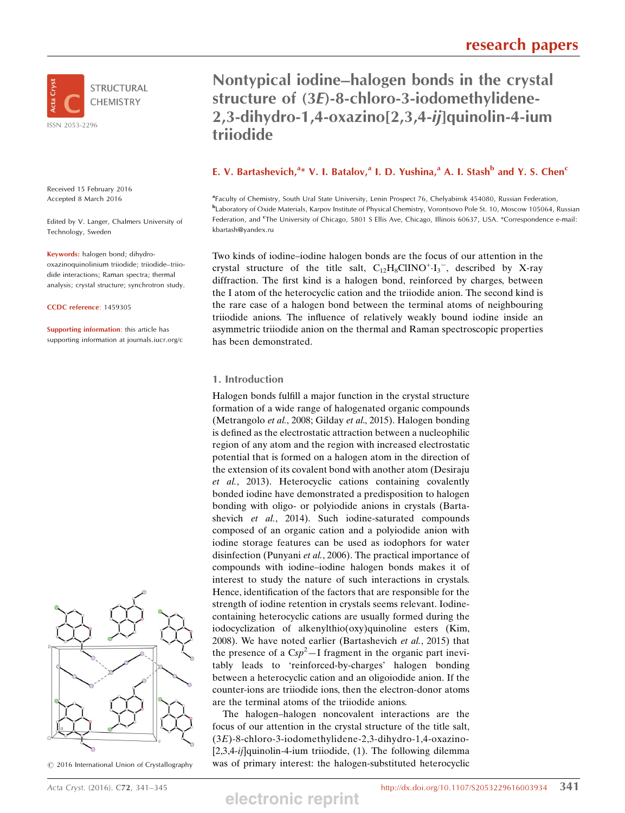

Received 15 February 2016 Accepted 8 March 2016

Edited by V. Langer, Chalmers University of Technology, Sweden

Keywords: halogen bond; dihydrooxazinoquinolinium triiodide; triiodide–triiodide interactions; Raman spectra; thermal analysis; crystal structure; synchrotron study.

CCDC reference: 1459305

Supporting information: this article has supporting information at journals.iucr.org/c



 $\odot$  2016 International Union of Crystallography

## Nontypical iodine–halogen bonds in the crystal structure of (3E)-8-chloro-3-iodomethylidene-2,3-dihydro-1,4-oxazino[2,3,4-ij]quinolin-4-ium triiodide

### E. V. Bartashevich,  $a^*$  V. I. Batalov, a I. D. Yushina, a A. I. Stash b and Y. S. Chen<sup>c</sup>

a Faculty of Chemistry, South Ural State University, Lenin Prospect 76, Chelyabinsk 454080, Russian Federation, b Laboratory of Oxide Materials, Karpov Institute of Physical Chemistry, Vorontsovo Pole St. 10, Moscow 105064, Russian Federation, and <sup>e</sup>The University of Chicago, 5801 S Ellis Ave, Chicago, Illinois 60637, USA. \*Correspondence e-mail: kbartash@yandex.ru

Two kinds of iodine–iodine halogen bonds are the focus of our attention in the crystal structure of the title salt,  $C_{12}H_8CIINO^+ \cdot I_3^-$ , described by X-ray diffraction. The first kind is a halogen bond, reinforced by charges, between the I atom of the heterocyclic cation and the triiodide anion. The second kind is the rare case of a halogen bond between the terminal atoms of neighbouring triiodide anions. The influence of relatively weakly bound iodine inside an asymmetric triiodide anion on the thermal and Raman spectroscopic properties has been demonstrated.

#### 1. Introduction

Halogen bonds fulfill a major function in the crystal structure formation of a wide range of halogenated organic compounds (Metrangolo et al., 2008; Gilday et al., 2015). Halogen bonding is defined as the electrostatic attraction between a nucleophilic region of any atom and the region with increased electrostatic potential that is formed on a halogen atom in the direction of the extension of its covalent bond with another atom (Desiraju et al., 2013). Heterocyclic cations containing covalently bonded iodine have demonstrated a predisposition to halogen bonding with oligo- or polyiodide anions in crystals (Bartashevich et al., 2014). Such iodine-saturated compounds composed of an organic cation and a polyiodide anion with iodine storage features can be used as iodophors for water disinfection (Punyani et al., 2006). The practical importance of compounds with iodine–iodine halogen bonds makes it of interest to study the nature of such interactions in crystals. Hence, identification of the factors that are responsible for the strength of iodine retention in crystals seems relevant. Iodinecontaining heterocyclic cations are usually formed during the iodocyclization of alkenylthio(oxy)quinoline esters (Kim, 2008). We have noted earlier (Bartashevich et al., 2015) that the presence of a  $Csp^2 - I$  fragment in the organic part inevitably leads to 'reinforced-by-charges' halogen bonding between a heterocyclic cation and an oligoiodide anion. If the counter-ions are triiodide ions, then the electron-donor atoms are the terminal atoms of the triiodide anions.

The halogen–halogen noncovalent interactions are the focus of our attention in the crystal structure of the title salt, (3E)-8-chloro-3-iodomethylidene-2,3-dihydro-1,4-oxazino-  $[2,3,4-ij]$ quinolin-4-ium triiodide,  $(1)$ . The following dilemma was of primary interest: the halogen-substituted heterocyclic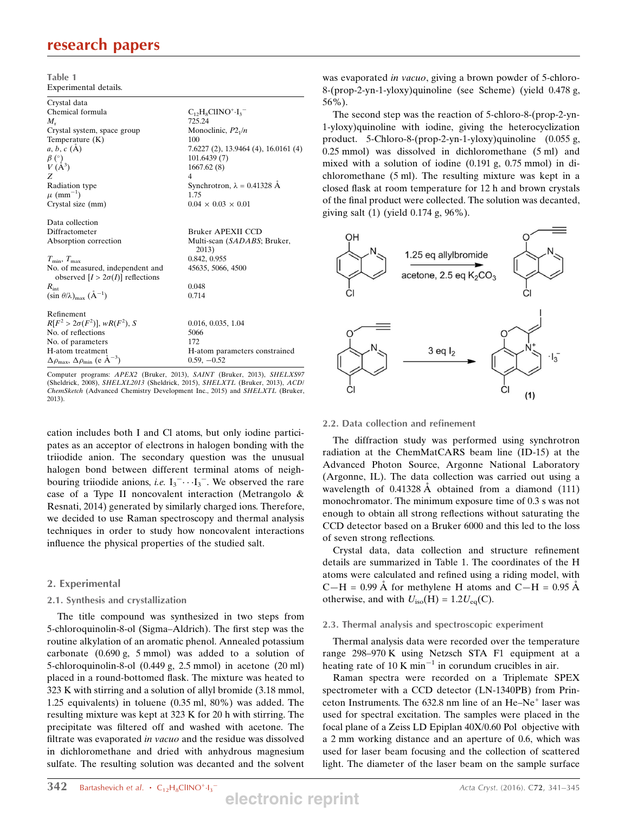## research papers

| Table 1               |  |
|-----------------------|--|
| Experimental details. |  |

| Crystal data                                                          |                                      |
|-----------------------------------------------------------------------|--------------------------------------|
| Chemical formula                                                      | $C_{12}H_8ClINO^+ \cdot I_3^-$       |
| $M_{\rm r}$                                                           | 725.24                               |
| Crystal system, space group                                           | Monoclinic, $P2_1/n$                 |
| Temperature $(K)$                                                     | 100                                  |
| $a, b, c (\AA)$                                                       | 7.6227 (2), 13.9464 (4), 16.0161 (4) |
| $\beta$ (°)                                                           | 101.6439(7)                          |
| $V(A^3)$                                                              | 1667.62(8)                           |
| Z                                                                     | 4                                    |
| Radiation type                                                        | Synchrotron, $\lambda = 0.41328$ Å   |
| $\mu$ (mm <sup>-1</sup> )                                             | 1.75                                 |
| Crystal size (mm)                                                     | $0.04 \times 0.03 \times 0.01$       |
|                                                                       |                                      |
| Data collection                                                       |                                      |
| Diffractometer                                                        | Bruker APEXII CCD                    |
| Absorption correction                                                 | Multi-scan (SADABS; Bruker,<br>2013) |
| $T_{\min}$ , $T_{\max}$                                               | 0.842, 0.955                         |
| No. of measured, independent and                                      | 45635, 5066, 4500                    |
| observed $[I > 2\sigma(I)]$ reflections                               |                                      |
| $R_{\text{int}}$                                                      | 0.048                                |
| $(\sin \theta/\lambda)_{\text{max}}$ $(\text{\AA}^{-1})$              | 0.714                                |
|                                                                       |                                      |
| Refinement                                                            |                                      |
| $R[F^2 > 2\sigma(F^2)], wR(F^2), S$                                   | 0.016, 0.035, 1.04                   |
| No. of reflections                                                    | 5066                                 |
| No. of parameters                                                     | 172                                  |
| H-atom treatment                                                      | H-atom parameters constrained        |
| $\Delta\rho_{\text{max}}$ , $\Delta\rho_{\text{min}}$ (e $\AA^{-3}$ ) | $0.59, -0.52$                        |

Computer programs: APEX2 (Bruker, 2013), SAINT (Bruker, 2013), SHELXS97 (Sheldrick, 2008), SHELXL2013 (Sheldrick, 2015), SHELXTL (Bruker, 2013), ACD/ ChemSketch (Advanced Chemistry Development Inc., 2015) and SHELXTL (Bruker, 2013).

cation includes both I and Cl atoms, but only iodine participates as an acceptor of electrons in halogen bonding with the triiodide anion. The secondary question was the unusual halogen bond between different terminal atoms of neighbouring triiodide anions, *i.e.*  $I_3$ <sup>-</sup> $\cdots$  $I_3$ <sup>-</sup>. We observed the rare case of a Type II noncovalent interaction (Metrangolo & Resnati, 2014) generated by similarly charged ions. Therefore, we decided to use Raman spectroscopy and thermal analysis techniques in order to study how noncovalent interactions influence the physical properties of the studied salt.

#### 2. Experimental

#### 2.1. Synthesis and crystallization

The title compound was synthesized in two steps from 5-chloroquinolin-8-ol (Sigma–Aldrich). The first step was the routine alkylation of an aromatic phenol. Annealed potassium carbonate (0.690 g, 5 mmol) was added to a solution of 5-chloroquinolin-8-ol (0.449 g, 2.5 mmol) in acetone (20 ml) placed in a round-bottomed flask. The mixture was heated to 323 K with stirring and a solution of allyl bromide (3.18 mmol, 1.25 equivalents) in toluene (0.35 ml, 80%) was added. The resulting mixture was kept at 323 K for 20 h with stirring. The precipitate was filtered off and washed with acetone. The filtrate was evaporated in vacuo and the residue was dissolved in dichloromethane and dried with anhydrous magnesium sulfate. The resulting solution was decanted and the solvent

was evaporated *in vacuo*, giving a brown powder of 5-chloro-8-(prop-2-yn-1-yloxy)quinoline (see Scheme) (yield 0.478 g, 56%).

The second step was the reaction of 5-chloro-8-(prop-2-yn-1-yloxy)quinoline with iodine, giving the heterocyclization product. 5-Chloro-8-(prop-2-yn-1-yloxy)quinoline (0.055 g, 0.25 mmol) was dissolved in dichloromethane (5 ml) and mixed with a solution of iodine (0.191 g, 0.75 mmol) in dichloromethane (5 ml). The resulting mixture was kept in a closed flask at room temperature for 12 h and brown crystals of the final product were collected. The solution was decanted, giving salt (1) (yield 0.174 g, 96%).



#### 2.2. Data collection and refinement

The diffraction study was performed using synchrotron radiation at the ChemMatCARS beam line (ID-15) at the Advanced Photon Source, Argonne National Laboratory (Argonne, IL). The data collection was carried out using a wavelength of  $0.41328 \text{ Å}$  obtained from a diamond (111) monochromator. The minimum exposure time of 0.3 s was not enough to obtain all strong reflections without saturating the CCD detector based on a Bruker 6000 and this led to the loss of seven strong reflections.

Crystal data, data collection and structure refinement details are summarized in Table 1. The coordinates of the H atoms were calculated and refined using a riding model, with  $C-H = 0.99 \text{ Å}$  for methylene H atoms and  $C-H = 0.95 \text{ Å}$ otherwise, and with  $U_{\text{iso}}(H) = 1.2 U_{\text{eq}}(C)$ .

#### 2.3. Thermal analysis and spectroscopic experiment

Thermal analysis data were recorded over the temperature range 298–970 K using Netzsch STA F1 equipment at a heating rate of 10 K min<sup>-1</sup> in corundum crucibles in air.

Raman spectra were recorded on a Triplemate SPEX spectrometer with a CCD detector (LN-1340PB) from Princeton Instruments. The  $632.8$  nm line of an He–Ne<sup>+</sup> laser was used for spectral excitation. The samples were placed in the focal plane of a Zeiss LD Epiplan 40X/0.60 Pol objective with a 2 mm working distance and an aperture of 0.6, which was used for laser beam focusing and the collection of scattered light. The diameter of the laser beam on the sample surface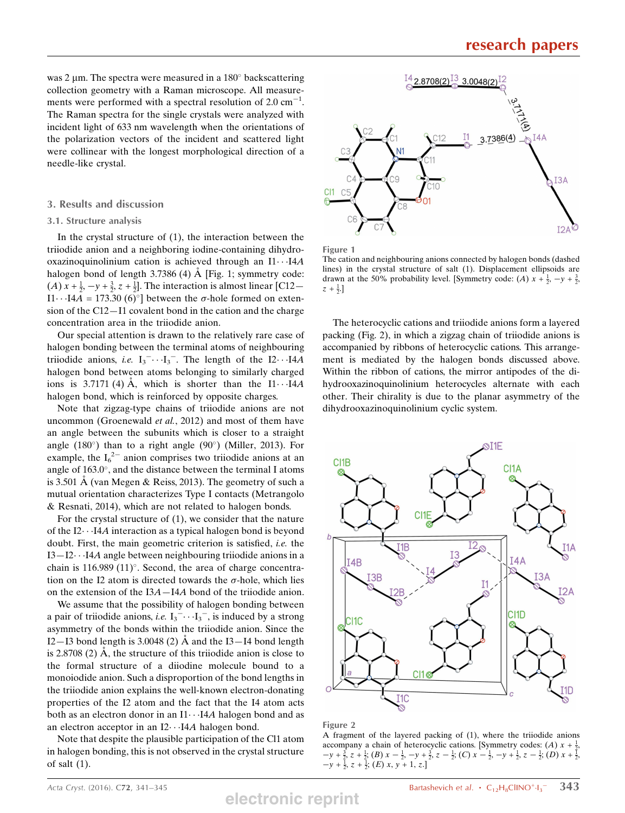was 2  $\mu$ m. The spectra were measured in a 180 $\degree$  backscattering collection geometry with a Raman microscope. All measurements were performed with a spectral resolution of  $2.0 \text{ cm}^{-1}$ . The Raman spectra for the single crystals were analyzed with incident light of 633 nm wavelength when the orientations of the polarization vectors of the incident and scattered light were collinear with the longest morphological direction of a needle-like crystal.

#### 3. Results and discussion

#### 3.1. Structure analysis

In the crystal structure of (1), the interaction between the triiodide anion and a neighboring iodine-containing dihydrooxazinoquinolinium cation is achieved through an  $11 \cdot 14A$ halogen bond of length  $3.7386$  (4) Å [Fig. 1; symmetry code: (*A*)  $x + \frac{1}{2}$ ,  $-y + \frac{3}{2}$ ,  $z + \frac{1}{2}$ . The interaction is almost linear [C12–  $\text{I}1 \cdots \text{I}4A = 173.30 (6)°$  between the  $\sigma$ -hole formed on extension of the C12—I1 covalent bond in the cation and the charge concentration area in the triiodide anion.

Our special attention is drawn to the relatively rare case of halogen bonding between the terminal atoms of neighbouring triiodide anions, *i.e.*  $I_3^- \cdots I_3^-$ . The length of the  $I2 \cdots I4A$ halogen bond between atoms belonging to similarly charged ions is 3.7171 (4) Å, which is shorter than the  $I1 \cdots I4A$ halogen bond, which is reinforced by opposite charges.

Note that zigzag-type chains of triiodide anions are not uncommon (Groenewald et al., 2012) and most of them have an angle between the subunits which is closer to a straight angle (180 $^{\circ}$ ) than to a right angle (90 $^{\circ}$ ) (Miller, 2013). For example, the  $I_6^2$  anion comprises two triiodide anions at an angle of  $163.0^{\circ}$ , and the distance between the terminal I atoms is 3.501  $\AA$  (van Megen & Reiss, 2013). The geometry of such a mutual orientation characterizes Type I contacts (Metrangolo & Resnati, 2014), which are not related to halogen bonds.

For the crystal structure of (1), we consider that the nature of the I2---I4A interaction as a typical halogen bond is beyond doubt. First, the main geometric criterion is satisfied, i.e. the I3—I2---I4A angle between neighbouring triiodide anions in a chain is  $116.989 (11)$ °. Second, the area of charge concentration on the I2 atom is directed towards the  $\sigma$ -hole, which lies on the extension of the I3A—I4A bond of the triiodide anion.

We assume that the possibility of halogen bonding between a pair of triiodide anions, *i.e.*  $I_3 \cdot \cdot \cdot I_3 \cdot$ , is induced by a strong asymmetry of the bonds within the triiodide anion. Since the I2—I3 bond length is  $3.0048(2)$  Å and the I3—I4 bond length is  $2.8708$  (2) Å, the structure of this triiodide anion is close to the formal structure of a diiodine molecule bound to a monoiodide anion. Such a disproportion of the bond lengths in the triiodide anion explains the well-known electron-donating properties of the I2 atom and the fact that the I4 atom acts both as an electron donor in an  $11 \cdots 14A$  halogen bond and as an electron acceptor in an  $I2 \cdots I4A$  halogen bond.

Note that despite the plausible participation of the Cl1 atom in halogen bonding, this is not observed in the crystal structure of salt (1).



Figure 1

The cation and neighbouring anions connected by halogen bonds (dashed lines) in the crystal structure of salt (1). Displacement ellipsoids are drawn at the 50% probability level. [Symmetry code: (A)  $x + \frac{1}{2}$ ,  $-y + \frac{3}{2}$ ,  $z + \frac{1}{2}$ .]

The heterocyclic cations and triiodide anions form a layered packing (Fig. 2), in which a zigzag chain of triiodide anions is accompanied by ribbons of heterocyclic cations. This arrangement is mediated by the halogen bonds discussed above. Within the ribbon of cations, the mirror antipodes of the dihydrooxazinoquinolinium heterocycles alternate with each other. Their chirality is due to the planar asymmetry of the dihydrooxazinoquinolinium cyclic system.



Figure 2

A fragment of the layered packing of (1), where the triiodide anions accompany a chain of heterocyclic cations. [Symmetry codes: (A)  $x + \frac{1}{2}$ ,  $-y+\frac{3}{2}$ ,  $z+\frac{1}{2}$ ; (B)  $x-\frac{1}{2}$ ,  $-y+\frac{3}{2}$ ,  $z-\frac{1}{2}$ ; (C)  $x-\frac{1}{2}$ ,  $-y+\frac{1}{2}$ ,  $z-\frac{1}{2}$ ; (D)  $x+\frac{1}{2}$ .  $-y+\frac{1}{2}, z+\frac{1}{2}; (E) x, y+1, z.$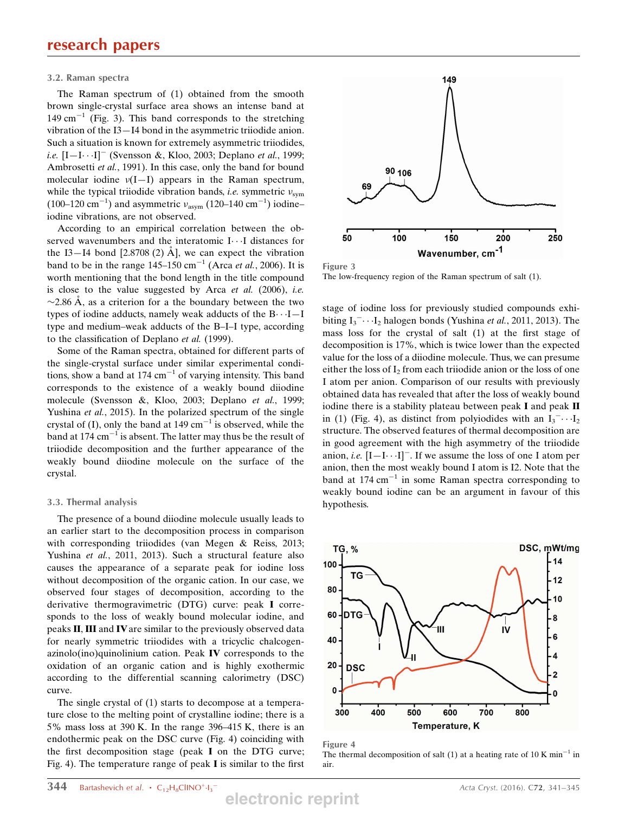#### 3.2. Raman spectra

The Raman spectrum of (1) obtained from the smooth brown single-crystal surface area shows an intense band at 149 cm<sup>-1</sup> (Fig. 3). This band corresponds to the stretching vibration of the I3—I4 bond in the asymmetric triiodide anion. Such a situation is known for extremely asymmetric triiodides, *i.e.*  $[I-I...I]^-$  (Svensson &, Kloo, 2003; Deplano *et al.*, 1999; Ambrosetti et al., 1991). In this case, only the band for bound molecular iodine  $v(I-I)$  appears in the Raman spectrum, while the typical triiodide vibration bands, *i.e.* symmetric  $v_{sym}$ (100–120 cm<sup>-1</sup>) and asymmetric  $v_{\text{asym}}$  (120–140 cm<sup>-1</sup>) iodineiodine vibrations, are not observed.

According to an empirical correlation between the observed wavenumbers and the interatomic  $I \cdots I$  distances for the I3–I4 bond [2.8708 (2)  $\AA$ ], we can expect the vibration band to be in the range  $145-150$  cm<sup>-1</sup> (Arca *et al.*, 2006). It is worth mentioning that the bond length in the title compound is close to the value suggested by Arca et al.  $(2006)$ , i.e.  $\sim$ 2.86 Å, as a criterion for a the boundary between the two types of iodine adducts, namely weak adducts of the  $B \cdots I - I$ type and medium–weak adducts of the B–I–I type, according to the classification of Deplano et al. (1999).

Some of the Raman spectra, obtained for different parts of the single-crystal surface under similar experimental conditions, show a band at 174  $cm^{-1}$  of varying intensity. This band corresponds to the existence of a weakly bound diiodine molecule (Svensson &, Kloo, 2003; Deplano et al., 1999; Yushina *et al.*, 2015). In the polarized spectrum of the single crystal of (I), only the band at 149  $cm^{-1}$  is observed, while the band at 174  $cm^{-1}$  is absent. The latter may thus be the result of triiodide decomposition and the further appearance of the weakly bound diiodine molecule on the surface of the crystal.

#### 3.3. Thermal analysis

The presence of a bound diiodine molecule usually leads to an earlier start to the decomposition process in comparison with corresponding triiodides (van Megen & Reiss, 2013; Yushina et al., 2011, 2013). Such a structural feature also causes the appearance of a separate peak for iodine loss without decomposition of the organic cation. In our case, we observed four stages of decomposition, according to the derivative thermogravimetric (DTG) curve: peak I corresponds to the loss of weakly bound molecular iodine, and peaks II, III and IVare similar to the previously observed data for nearly symmetric triiodides with a tricyclic chalcogenazinolo(ino)quinolinium cation. Peak IV corresponds to the oxidation of an organic cation and is highly exothermic according to the differential scanning calorimetry (DSC) curve.

The single crystal of (1) starts to decompose at a temperature close to the melting point of crystalline iodine; there is a 5% mass loss at 390 K. In the range 396–415 K, there is an endothermic peak on the DSC curve (Fig. 4) coinciding with the first decomposition stage (peak I on the DTG curve; Fig. 4). The temperature range of peak I is similar to the first



Figure 3

The low-frequency region of the Raman spectrum of salt (1).

stage of iodine loss for previously studied compounds exhibiting  $I_3$ <sup>-</sup> $\cdots$ I<sub>2</sub> halogen bonds (Yushina *et al.*, 2011, 2013). The mass loss for the crystal of salt (1) at the first stage of decomposition is 17%, which is twice lower than the expected value for the loss of a diiodine molecule. Thus, we can presume either the loss of  $I_2$  from each triiodide anion or the loss of one I atom per anion. Comparison of our results with previously obtained data has revealed that after the loss of weakly bound iodine there is a stability plateau between peak I and peak II in (1) (Fig. 4), as distinct from polyiodides with an  $I_3^- \cdots I_2$ structure. The observed features of thermal decomposition are in good agreement with the high asymmetry of the triiodide anion, *i.e.*  $[I - I \cdots I]$ <sup>-</sup>. If we assume the loss of one I atom per anion, then the most weakly bound I atom is I2. Note that the band at 174 cm<sup>-1</sup> in some Raman spectra corresponding to weakly bound iodine can be an argument in favour of this hypothesis.



Figure 4

The thermal decomposition of salt (1) at a heating rate of 10 K min<sup>-1</sup> in air.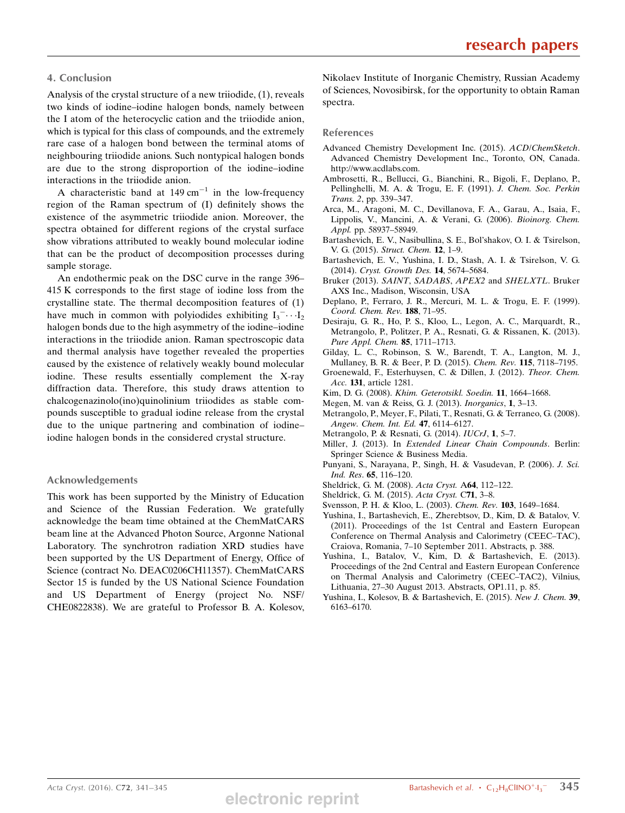#### 4. Conclusion

Analysis of the crystal structure of a new triiodide, (1), reveals two kinds of iodine–iodine halogen bonds, namely between the I atom of the heterocyclic cation and the triiodide anion, which is typical for this class of compounds, and the extremely rare case of a halogen bond between the terminal atoms of neighbouring triiodide anions. Such nontypical halogen bonds are due to the strong disproportion of the iodine–iodine interactions in the triiodide anion.

A characteristic band at  $149 \text{ cm}^{-1}$  in the low-frequency region of the Raman spectrum of (I) definitely shows the existence of the asymmetric triiodide anion. Moreover, the spectra obtained for different regions of the crystal surface show vibrations attributed to weakly bound molecular iodine that can be the product of decomposition processes during sample storage.

An endothermic peak on the DSC curve in the range 396– 415 K corresponds to the first stage of iodine loss from the crystalline state. The thermal decomposition features of (1) have much in common with polyiodides exhibiting  $I_3^- \cdots I_2$ halogen bonds due to the high asymmetry of the iodine–iodine interactions in the triiodide anion. Raman spectroscopic data and thermal analysis have together revealed the properties caused by the existence of relatively weakly bound molecular iodine. These results essentially complement the X-ray diffraction data. Therefore, this study draws attention to chalcogenazinolo(ino)quinolinium triiodides as stable compounds susceptible to gradual iodine release from the crystal due to the unique partnering and combination of iodine– iodine halogen bonds in the considered crystal structure.

#### Acknowledgements

This work has been supported by the Ministry of Education and Science of the Russian Federation. We gratefully acknowledge the beam time obtained at the ChemMatCARS beam line at the Advanced Photon Source, Argonne National Laboratory. The synchrotron radiation XRD studies have been supported by the US Department of Energy, Office of Science (contract No. DEAC0206CH11357). ChemMatCARS Sector 15 is funded by the US National Science Foundation and US Department of Energy (project No. NSF/ CHE0822838). We are grateful to Professor B. A. Kolesov, Nikolaev Institute of Inorganic Chemistry, Russian Academy of Sciences, Novosibirsk, for the opportunity to obtain Raman spectra.

#### References

- Advanced Chemistry Development Inc. (2015). ACD/ChemSketch. Advanced Chemistry Development Inc., Toronto, ON, Canada. http://www.acdlabs.com.
- Ambrosetti, R., Bellucci, G., Bianchini, R., Bigoli, F., Deplano, P., Pellinghelli, M. A. & Trogu, E. F. (1991). J. Chem. Soc. Perkin Trans. 2, pp. 339–347.
- Arca, M., Aragoni, M. C., Devillanova, F. A., Garau, A., Isaia, F., Lippolis, V., Mancini, A. & Verani, G. (2006). Bioinorg. Chem. Appl. pp. 58937-58949.
- Bartashevich, E. V., Nasibullina, S. E., Bol'shakov, O. I. & Tsirelson, V. G. (2015). Struct. Chem. 12, 1–9.
- Bartashevich, E. V., Yushina, I. D., Stash, A. I. & Tsirelson, V. G. (2014). Cryst. Growth Des. 14, 5674–5684.
- Bruker (2013). SAINT, SADABS, APEX2 and SHELXTL. Bruker AXS Inc., Madison, Wisconsin, USA
- Deplano, P., Ferraro, J. R., Mercuri, M. L. & Trogu, E. F. (1999). Coord. Chem. Rev. 188, 71–95.
- Desiraju, G. R., Ho, P. S., Kloo, L., Legon, A. C., Marquardt, R., Metrangolo, P., Politzer, P. A., Resnati, G. & Rissanen, K. (2013). Pure Appl. Chem. 85, 1711-1713.
- Gilday, L. C., Robinson, S. W., Barendt, T. A., Langton, M. J., Mullaney, B. R. & Beer, P. D. (2015). Chem. Rev. 115, 7118-7195.
- Groenewald, F., Esterhuysen, C. & Dillen, J. (2012). Theor. Chem. Acc. 131, article 1281.
- Kim, D. G. (2008). Khim. Geterotsikl. Soedin. 11, 1664–1668.
- Megen, M. van & Reiss, G. J. (2013). Inorganics, 1, 3–13.
- Metrangolo, P., Meyer, F., Pilati, T., Resnati, G. & Terraneo, G. (2008). Angew. Chem. Int. Ed. 47, 6114–6127.
- Metrangolo, P. & Resnati, G. (2014). IUCrJ, 1, 5–7.
- Miller, J. (2013). In Extended Linear Chain Compounds. Berlin: Springer Science & Business Media.
- Punyani, S., Narayana, P., Singh, H. & Vasudevan, P. (2006). J. Sci. Ind. Res. 65, 116–120.
- Sheldrick, G. M. (2008). Acta Cryst. A64, 112–122.
- Sheldrick, G. M. (2015). Acta Cryst. C71, 3–8.
- Svensson, P. H. & Kloo, L. (2003). Chem. Rev. 103, 1649–1684.
- Yushina, I., Bartashevich, E., Zherebtsov, D., Kim, D. & Batalov, V. (2011). Proceedings of the 1st Central and Eastern European Conference on Thermal Analysis and Calorimetry (CEEC–TAC), Craiova, Romania, 7–10 September 2011. Abstracts, p. 388.
- Yushina, I., Batalov, V., Kim, D. & Bartashevich, E. (2013). Proceedings of the 2nd Central and Eastern European Conference on Thermal Analysis and Calorimetry (CEEC–TAC2), Vilnius, Lithuania, 27–30 August 2013. Abstracts, OP1.11, p. 85.
- Yushina, I., Kolesov, B. & Bartashevich, E. (2015). New J. Chem. 39, 6163–6170.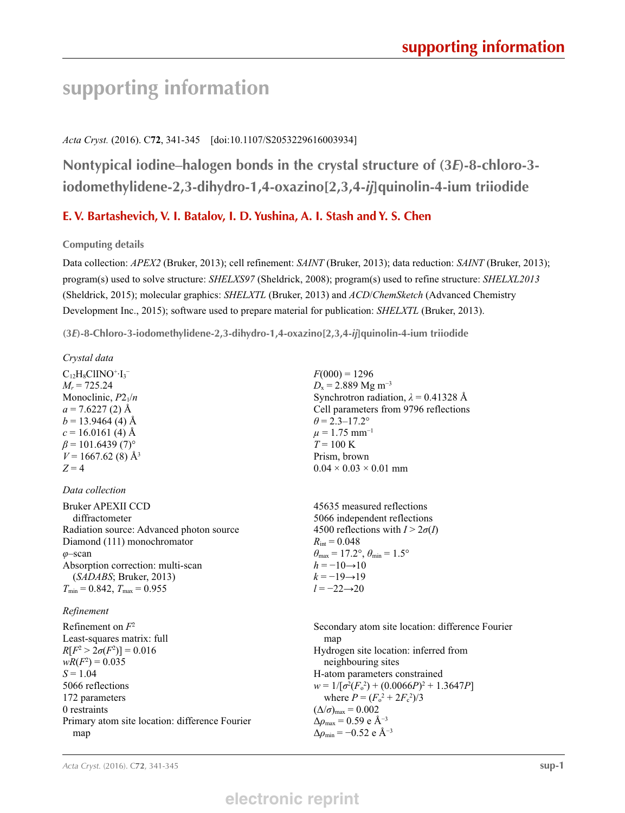# **supporting information**

### *Acta Cryst.* (2016). C**72**, 341-345 [doi:10.1107/S2053229616003934]

**Nontypical iodine–halogen bonds in the crystal structure of (3***E***)-8-chloro-3 iodomethylidene-2,3-dihydro-1,4-oxazino[2,3,4-***ij***]quinolin-4-ium triiodide**

### **E. V. Bartashevich, V. I. Batalov, I. D. Yushina, A. I. Stash and Y. S. Chen**

**Computing details** 

Data collection: *APEX2* (Bruker, 2013); cell refinement: *SAINT* (Bruker, 2013); data reduction: *SAINT* (Bruker, 2013); program(s) used to solve structure: *SHELXS97* (Sheldrick, 2008); program(s) used to refine structure: *SHELXL2013* (Sheldrick, 2015); molecular graphics: *SHELXTL* (Bruker, 2013) and *ACD*/*ChemSketch* (Advanced Chemistry Development Inc., 2015); software used to prepare material for publication: *SHELXTL* (Bruker, 2013).

**(3***E***)-8-Chloro-3-iodomethylidene-2,3-dihydro-1,4-oxazino[2,3,4-***ij***]quinolin-4-ium triiodide** 

| Crystal data                                   |                                                                         |
|------------------------------------------------|-------------------------------------------------------------------------|
| $C_{12}H_8CIINO+I_3^-$                         | $F(000) = 1296$                                                         |
| $M_r = 725.24$                                 | $D_x = 2.889$ Mg m <sup>-3</sup>                                        |
| Monoclinic, $P2_1/n$                           | Synchrotron radiation, $\lambda = 0.41328$ Å                            |
| $a = 7.6227(2)$ Å                              | Cell parameters from 9796 reflections                                   |
| $b = 13.9464$ (4) Å                            | $\theta$ = 2.3–17.2°                                                    |
| $c = 16.0161(4)$ Å                             | $\mu = 1.75$ mm <sup>-1</sup>                                           |
| $\beta$ = 101.6439 (7) <sup>o</sup>            | $T = 100 \text{ K}$                                                     |
| $V = 1667.62(8)$ Å <sup>3</sup>                | Prism, brown                                                            |
| $Z = 4$                                        | $0.04 \times 0.03 \times 0.01$ mm                                       |
| Data collection                                |                                                                         |
| <b>Bruker APEXII CCD</b>                       | 45635 measured reflections                                              |
| diffractometer                                 | 5066 independent reflections                                            |
| Radiation source: Advanced photon source       | 4500 reflections with $I > 2\sigma(I)$                                  |
| Diamond (111) monochromator                    | $R_{\rm int} = 0.048$                                                   |
| $\varphi$ -scan                                | $\theta_{\text{max}} = 17.2^{\circ}, \theta_{\text{min}} = 1.5^{\circ}$ |
| Absorption correction: multi-scan              | $h = -10 \rightarrow 10$                                                |
| (SADABS; Bruker, 2013)                         | $k = -19 \rightarrow 19$                                                |
| $T_{\min}$ = 0.842, $T_{\max}$ = 0.955         | $l = -22 \rightarrow 20$                                                |
| Refinement                                     |                                                                         |
| Refinement on $F^2$                            | Secondary atom site location: difference Fourier                        |
| Least-squares matrix: full                     | map                                                                     |
| $R[F^2 > 2\sigma(F^2)] = 0.016$                | Hydrogen site location: inferred from                                   |
| $wR(F^2) = 0.035$                              | neighbouring sites                                                      |
| $S = 1.04$                                     | H-atom parameters constrained                                           |
| 5066 reflections                               | $w = 1/[\sigma^2(F_0^2) + (0.0066P)^2 + 1.3647P]$                       |
| 172 parameters                                 | where $P = (F_o^2 + 2F_c^2)/3$                                          |
| 0 restraints                                   | $(\Delta/\sigma)_{\text{max}} = 0.002$                                  |
| Primary atom site location: difference Fourier | $\Delta\rho_{\text{max}} = 0.59$ e Å <sup>-3</sup>                      |
| map                                            | $\Delta\rho_{\rm min} = -0.52$ e Å <sup>-3</sup>                        |
|                                                |                                                                         |

## **electronic reprint**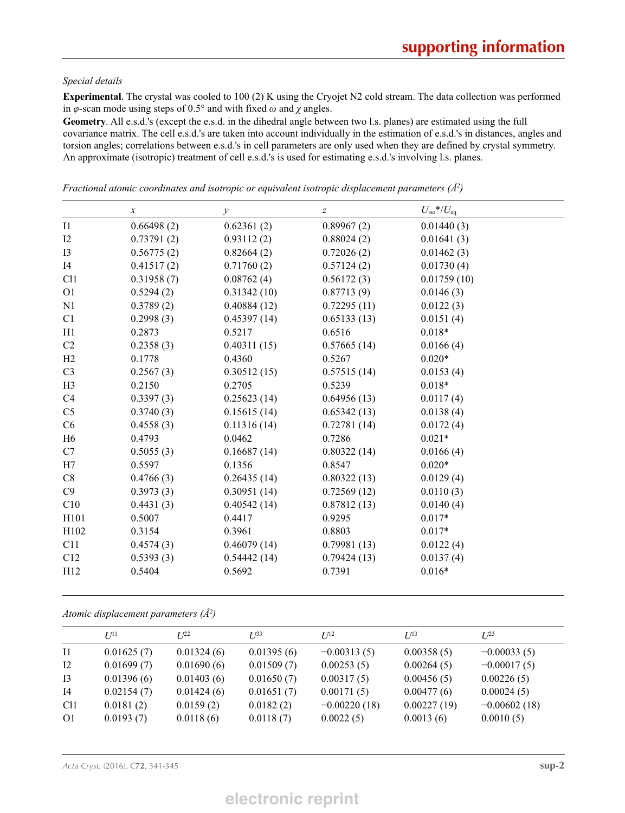#### *Special details*

**Experimental**. The crystal was cooled to 100 (2) K using the Cryojet N2 cold stream. The data collection was performed in *φ*-scan mode using steps of 0.5° and with fixed *ω* and *χ* angles.

**Geometry**. All e.s.d.'s (except the e.s.d. in the dihedral angle between two l.s. planes) are estimated using the full covariance matrix. The cell e.s.d.'s are taken into account individually in the estimation of e.s.d.'s in distances, angles and torsion angles; correlations between e.s.d.'s in cell parameters are only used when they are defined by crystal symmetry. An approximate (isotropic) treatment of cell e.s.d.'s is used for estimating e.s.d.'s involving l.s. planes.

|                | $\boldsymbol{x}$ | $\mathcal{Y}$ | $\boldsymbol{Z}$ | $U_{\rm iso}*/U_{\rm eq}$ |  |
|----------------|------------------|---------------|------------------|---------------------------|--|
| $_{\rm II}$    | 0.66498(2)       | 0.62361(2)    | 0.89967(2)       | 0.01440(3)                |  |
| 12             | 0.73791(2)       | 0.93112(2)    | 0.88024(2)       | 0.01641(3)                |  |
| I3             | 0.56775(2)       | 0.82664(2)    | 0.72026(2)       | 0.01462(3)                |  |
| I4             | 0.41517(2)       | 0.71760(2)    | 0.57124(2)       | 0.01730(4)                |  |
| C11            | 0.31958(7)       | 0.08762(4)    | 0.56172(3)       | 0.01759(10)               |  |
| 01             | 0.5294(2)        | 0.31342(10)   | 0.87713(9)       | 0.0146(3)                 |  |
| N1             | 0.3789(2)        | 0.40884(12)   | 0.72295(11)      | 0.0122(3)                 |  |
| C1             | 0.2998(3)        | 0.45397(14)   | 0.65133(13)      | 0.0151(4)                 |  |
| H1             | 0.2873           | 0.5217        | 0.6516           | $0.018*$                  |  |
| C2             | 0.2358(3)        | 0.40311(15)   | 0.57665(14)      | 0.0166(4)                 |  |
| H2             | 0.1778           | 0.4360        | 0.5267           | $0.020*$                  |  |
| C <sub>3</sub> | 0.2567(3)        | 0.30512(15)   | 0.57515(14)      | 0.0153(4)                 |  |
| H <sub>3</sub> | 0.2150           | 0.2705        | 0.5239           | $0.018*$                  |  |
| C4             | 0.3397(3)        | 0.25623(14)   | 0.64956(13)      | 0.0117(4)                 |  |
| C <sub>5</sub> | 0.3740(3)        | 0.15615(14)   | 0.65342(13)      | 0.0138(4)                 |  |
| C6             | 0.4558(3)        | 0.11316(14)   | 0.72781(14)      | 0.0172(4)                 |  |
| H <sub>6</sub> | 0.4793           | 0.0462        | 0.7286           | $0.021*$                  |  |
| C7             | 0.5055(3)        | 0.16687(14)   | 0.80322(14)      | 0.0166(4)                 |  |
| H7             | 0.5597           | 0.1356        | 0.8547           | $0.020*$                  |  |
| C8             | 0.4766(3)        | 0.26435(14)   | 0.80322(13)      | 0.0129(4)                 |  |
| C9             | 0.3973(3)        | 0.30951(14)   | 0.72569(12)      | 0.0110(3)                 |  |
| C10            | 0.4431(3)        | 0.40542(14)   | 0.87812(13)      | 0.0140(4)                 |  |
| H101           | 0.5007           | 0.4417        | 0.9295           | $0.017*$                  |  |
| H102           | 0.3154           | 0.3961        | 0.8803           | $0.017*$                  |  |
| C11            | 0.4574(3)        | 0.46079(14)   | 0.79981(13)      | 0.0122(4)                 |  |
| C12            | 0.5393(3)        | 0.54442(14)   | 0.79424(13)      | 0.0137(4)                 |  |
| H12            | 0.5404           | 0.5692        | 0.7391           | $0.016*$                  |  |
|                |                  |               |                  |                           |  |

*Fractional atomic coordinates and isotropic or equivalent isotropic displacement parameters (Å2 )*

*Atomic displacement parameters (Å2 )*

|                 | $U^{11}$   | $I^{22}$   | $I^{\beta 3}$ | $I^{12}$       | $I/I^3$     | $U^{23}$       |
|-----------------|------------|------------|---------------|----------------|-------------|----------------|
| $\overline{11}$ | 0.01625(7) | 0.01324(6) | 0.01395(6)    | $-0.00313(5)$  | 0.00358(5)  | $-0.00033(5)$  |
| 12              | 0.01699(7) | 0.01690(6) | 0.01509(7)    | 0.00253(5)     | 0.00264(5)  | $-0.00017(5)$  |
| 13              | 0.01396(6) | 0.01403(6) | 0.01650(7)    | 0.00317(5)     | 0.00456(5)  | 0.00226(5)     |
| I4              | 0.02154(7) | 0.01424(6) | 0.01651(7)    | 0.00171(5)     | 0.00477(6)  | 0.00024(5)     |
| C <sub>11</sub> | 0.0181(2)  | 0.0159(2)  | 0.0182(2)     | $-0.00220(18)$ | 0.00227(19) | $-0.00602(18)$ |
| O <sub>1</sub>  | 0.0193(7)  | 0.0118(6)  | 0.0118(7)     | 0.0022(5)      | 0.0013(6)   | 0.0010(5)      |

*Acta Cryst.* (2016). C**72**, 341-345 **sup-2**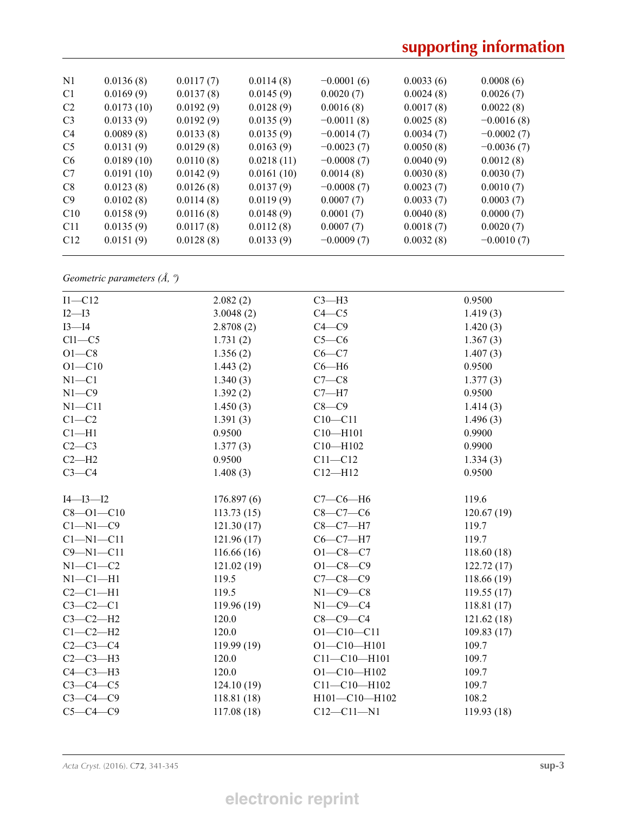# **supporting information**

| N <sub>1</sub> | 0.0136(8)  | 0.0117(7) | 0.0114(8)  | $-0.0001(6)$ | 0.0033(6) | 0.0008(6)    |
|----------------|------------|-----------|------------|--------------|-----------|--------------|
| C1             | 0.0169(9)  | 0.0137(8) | 0.0145(9)  | 0.0020(7)    | 0.0024(8) | 0.0026(7)    |
| C <sub>2</sub> | 0.0173(10) | 0.0192(9) | 0.0128(9)  | 0.0016(8)    | 0.0017(8) | 0.0022(8)    |
| C <sub>3</sub> | 0.0133(9)  | 0.0192(9) | 0.0135(9)  | $-0.0011(8)$ | 0.0025(8) | $-0.0016(8)$ |
| C4             | 0.0089(8)  | 0.0133(8) | 0.0135(9)  | $-0.0014(7)$ | 0.0034(7) | $-0.0002(7)$ |
| C <sub>5</sub> | 0.0131(9)  | 0.0129(8) | 0.0163(9)  | $-0.0023(7)$ | 0.0050(8) | $-0.0036(7)$ |
| C <sub>6</sub> | 0.0189(10) | 0.0110(8) | 0.0218(11) | $-0.0008(7)$ | 0.0040(9) | 0.0012(8)    |
| C7             | 0.0191(10) | 0.0142(9) | 0.0161(10) | 0.0014(8)    | 0.0030(8) | 0.0030(7)    |
| C8             | 0.0123(8)  | 0.0126(8) | 0.0137(9)  | $-0.0008(7)$ | 0.0023(7) | 0.0010(7)    |
| C9             | 0.0102(8)  | 0.0114(8) | 0.0119(9)  | 0.0007(7)    | 0.0033(7) | 0.0003(7)    |
| C10            | 0.0158(9)  | 0.0116(8) | 0.0148(9)  | 0.0001(7)    | 0.0040(8) | 0.0000(7)    |
| C11            | 0.0135(9)  | 0.0117(8) | 0.0112(8)  | 0.0007(7)    | 0.0018(7) | 0.0020(7)    |
| C12            | 0.0151(9)  | 0.0128(8) | 0.0133(9)  | $-0.0009(7)$ | 0.0032(8) | $-0.0010(7)$ |
|                |            |           |            |              |           |              |

*Geometric parameters (Å, º)*

| $I1-C12$        | 2.082(2)    | $C3-H3$            | 0.9500      |
|-----------------|-------------|--------------------|-------------|
| $I2-I3$         | 3.0048(2)   | $C4 - C5$          | 1.419(3)    |
| $I3-I4$         | 2.8708(2)   | $C4 - C9$          | 1.420(3)    |
| $Cl1-C5$        | 1.731(2)    | $C5-C6$            | 1.367(3)    |
| $O1-C8$         | 1.356(2)    | $C6-C7$            | 1.407(3)    |
| $O1 - C10$      | 1.443(2)    | $C6 - H6$          | 0.9500      |
| $N1 - C1$       | 1.340(3)    | $C7-C8$            | 1.377(3)    |
| $N1 - C9$       | 1.392(2)    | $C7 - H7$          | 0.9500      |
| $N1 - C11$      | 1.450(3)    | $C8 - C9$          | 1.414(3)    |
| $C1 - C2$       | 1.391(3)    | $C10 - C11$        | 1.496(3)    |
| $Cl-H1$         | 0.9500      | $C10 - H101$       | 0.9900      |
| $C2-C3$         | 1.377(3)    | $C10 - H102$       | 0.9900      |
| $C2-H2$         | 0.9500      | $C11 - C12$        | 1.334(3)    |
| $C3-C4$         | 1.408(3)    | $C12 - H12$        | 0.9500      |
| $I4 - I3 - I2$  | 176.897(6)  | $C7-C6-H6$         | 119.6       |
| $C8 - O1 - C10$ | 113.73(15)  | $C8-C7-C6$         | 120.67(19)  |
| $C1 - N1 - C9$  | 121.30(17)  | $C8-C7-H7$         | 119.7       |
| $Cl-M1-C11$     | 121.96(17)  | $C6-C7-H7$         | 119.7       |
| $C9 - N1 - C11$ | 116.66(16)  | $O1 - C8 - C7$     | 118.60(18)  |
| $N1-C1-C2$      | 121.02(19)  | $O1 - C8 - C9$     | 122.72(17)  |
| $N1-C1-H1$      | 119.5       | $C7 - C8 - C9$     | 118.66 (19) |
| $C2-C1-H1$      | 119.5       | $N1-C9-C8$         | 119.55(17)  |
| $C3-C2-C1$      | 119.96 (19) | $N1-C9-C4$         | 118.81(17)  |
| $C3-C2-H2$      | 120.0       | $C8-C9-C4$         | 121.62(18)  |
| $C1-C2-H2$      | 120.0       | $O1 - C10 - C11$   | 109.83(17)  |
| $C2-C3-C4$      | 119.99 (19) | $O1 - C10 - H101$  | 109.7       |
| $C2-C3-H3$      | 120.0       | $C11 - C10 - H101$ | 109.7       |
| $C4-C3-H3$      | 120.0       | $O1 - C10 - H102$  | 109.7       |
| $C3-C4-C5$      | 124.10(19)  | $C11 - C10 - H102$ | 109.7       |
| $C3-C4-C9$      | 118.81(18)  | H101-C10-H102      | 108.2       |
| $C5-C4-C9$      | 117.08(18)  | $C12 - C11 - N1$   | 119.93 (18) |
|                 |             |                    |             |